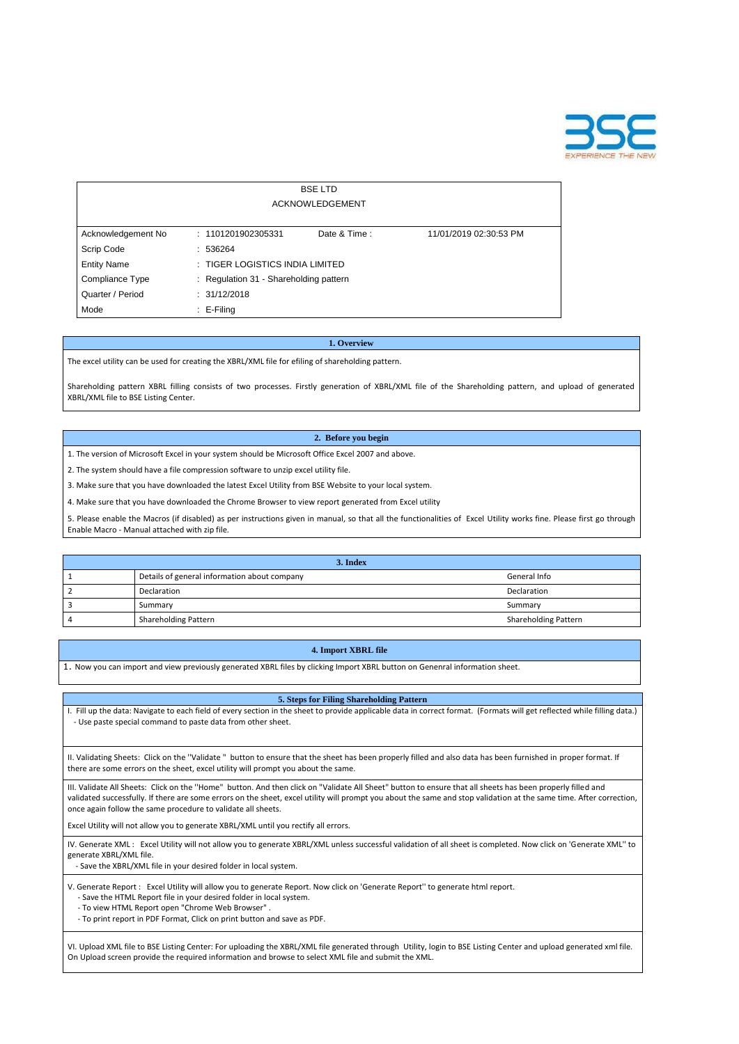

| <b>BSELTD</b><br><b>ACKNOWLEDGEMENT</b> |                                        |              |                        |  |  |  |  |  |  |  |  |
|-----------------------------------------|----------------------------------------|--------------|------------------------|--|--|--|--|--|--|--|--|
| Acknowledgement No                      | : 1101201902305331                     | Date & Time: | 11/01/2019 02:30:53 PM |  |  |  |  |  |  |  |  |
| Scrip Code                              | : 536264                               |              |                        |  |  |  |  |  |  |  |  |
| <b>Entity Name</b>                      | : TIGER LOGISTICS INDIA LIMITED        |              |                        |  |  |  |  |  |  |  |  |
| Compliance Type                         | : Regulation 31 - Shareholding pattern |              |                        |  |  |  |  |  |  |  |  |
| Quarter / Period                        | : 31/12/2018                           |              |                        |  |  |  |  |  |  |  |  |
| Mode                                    | $\therefore$ E-Filing                  |              |                        |  |  |  |  |  |  |  |  |

### **1. Overview**

The excel utility can be used for creating the XBRL/XML file for efiling of shareholding pattern.

Shareholding pattern XBRL filling consists of two processes. Firstly generation of XBRL/XML file of the Shareholding pattern, and upload of generated XBRL/XML file to BSE Listing Center.

### **2. Before you begin**

1. The version of Microsoft Excel in your system should be Microsoft Office Excel 2007 and above.

2. The system should have a file compression software to unzip excel utility file.

3. Make sure that you have downloaded the latest Excel Utility from BSE Website to your local system.

4. Make sure that you have downloaded the Chrome Browser to view report generated from Excel utility

5. Please enable the Macros (if disabled) as per instructions given in manual, so that all the functionalities of Excel Utility works fine. Please first go through Enable Macro - Manual attached with zip file.

# **5. Steps for Filing Shareholding Pattern**

I. Fill up the data: Navigate to each field of every section in the sheet to provide applicable data in correct format. (Formats will get reflected while filling data.) - Use paste special command to paste data from other sheet.

II. Validating Sheets: Click on the ''Validate " button to ensure that the sheet has been properly filled and also data has been furnished in proper format. If there are some errors on the sheet, excel utility will prompt you about the same.

III. Validate All Sheets: Click on the ''Home" button. And then click on "Validate All Sheet" button to ensure that all sheets has been properly filled and

validated successfully. If there are some errors on the sheet, excel utility will prompt you about the same and stop validation at the same time. After correction, once again follow the same procedure to validate all sheets.

Excel Utility will not allow you to generate XBRL/XML until you rectify all errors.

IV. Generate XML : Excel Utility will not allow you to generate XBRL/XML unless successful validation of all sheet is completed. Now click on 'Generate XML'' to generate XBRL/XML file.

- Save the XBRL/XML file in your desired folder in local system.

V. Generate Report : Excel Utility will allow you to generate Report. Now click on 'Generate Report'' to generate html report.

- Save the HTML Report file in your desired folder in local system.
- To view HTML Report open "Chrome Web Browser" .
- To print report in PDF Format, Click on print button and save as PDF.

VI. Upload XML file to BSE Listing Center: For uploading the XBRL/XML file generated through Utility, login to BSE Listing Center and upload generated xml file. On Upload screen provide the required information and browse to select XML file and submit the XML.

| 3. Index |                                              |                             |  |  |  |  |  |  |  |  |
|----------|----------------------------------------------|-----------------------------|--|--|--|--|--|--|--|--|
|          | Details of general information about company | General Info                |  |  |  |  |  |  |  |  |
|          | Declaration                                  | Declaration                 |  |  |  |  |  |  |  |  |
|          | Summary                                      | Summary                     |  |  |  |  |  |  |  |  |
|          | <b>Shareholding Pattern</b>                  | <b>Shareholding Pattern</b> |  |  |  |  |  |  |  |  |

## **4. Import XBRL file**

1. Now you can import and view previously generated XBRL files by clicking Import XBRL button on Genenral information sheet.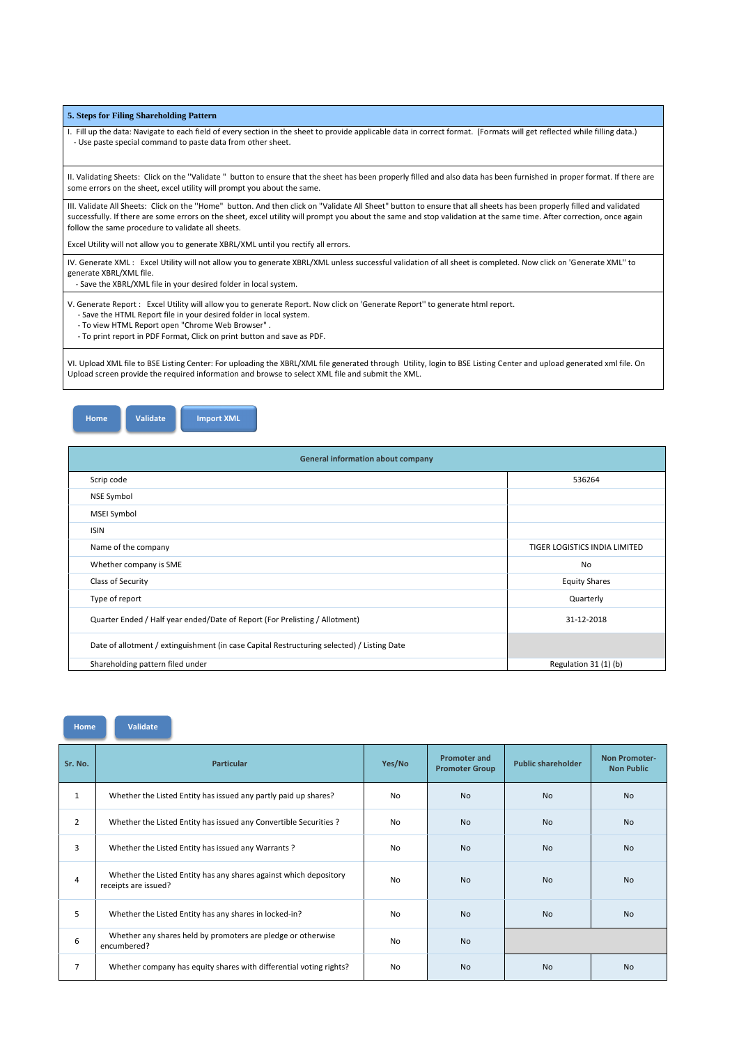### **5. Steps for Filing Shareholding Pattern**

I. Fill up the data: Navigate to each field of every section in the sheet to provide applicable data in correct format. (Formats will get reflected while filling data.) - Use paste special command to paste data from other sheet.

II. Validating Sheets: Click on the ''Validate " button to ensure that the sheet has been properly filled and also data has been furnished in proper format. If there are some errors on the sheet, excel utility will prompt you about the same.

III. Validate All Sheets: Click on the ''Home" button. And then click on "Validate All Sheet" button to ensure that all sheets has been properly filled and validated successfully. If there are some errors on the sheet, excel utility will prompt you about the same and stop validation at the same time. After correction, once again follow the same procedure to validate all sheets.

Excel Utility will not allow you to generate XBRL/XML until you rectify all errors.

IV. Generate XML : Excel Utility will not allow you to generate XBRL/XML unless successful validation of all sheet is completed. Now click on 'Generate XML'' to generate XBRL/XML file.

- Save the XBRL/XML file in your desired folder in local system.

V. Generate Report : Excel Utility will allow you to generate Report. Now click on 'Generate Report'' to generate html report.

- Save the HTML Report file in your desired folder in local system.

- To view HTML Report open "Chrome Web Browser" .

- To print report in PDF Format, Click on print button and save as PDF.

VI. Upload XML file to BSE Listing Center: For uploading the XBRL/XML file generated through Utility, login to BSE Listing Center and upload generated xml file. On Upload screen provide the required information and browse to select XML file and submit the XML.



| <b>General information about company</b>                                                   |                               |
|--------------------------------------------------------------------------------------------|-------------------------------|
| Scrip code                                                                                 | 536264                        |
| <b>NSE Symbol</b>                                                                          |                               |
| <b>MSEI Symbol</b>                                                                         |                               |
| <b>ISIN</b>                                                                                |                               |
| Name of the company                                                                        | TIGER LOGISTICS INDIA LIMITED |
| Whether company is SME                                                                     | <b>No</b>                     |
| Class of Security                                                                          | <b>Equity Shares</b>          |
| Type of report                                                                             | Quarterly                     |
| Quarter Ended / Half year ended/Date of Report (For Prelisting / Allotment)                | 31-12-2018                    |
| Date of allotment / extinguishment (in case Capital Restructuring selected) / Listing Date |                               |
| Shareholding pattern filed under                                                           | Regulation 31 (1) (b)         |

| Sr. No. | <b>Particular</b> | Yes/No | <b>Promoter and</b><br><b>Promoter Group</b> | <b>Public shareholder</b> | <b>Non Promoter-</b><br><b>Non Public</b> |
|---------|-------------------|--------|----------------------------------------------|---------------------------|-------------------------------------------|
|         |                   |        |                                              |                           |                                           |

|                | Whether the Listed Entity has issued any partly paid up shares?                           | <b>No</b>      | <b>No</b>      | <b>No</b> | <b>No</b>      |
|----------------|-------------------------------------------------------------------------------------------|----------------|----------------|-----------|----------------|
| $\overline{2}$ | Whether the Listed Entity has issued any Convertible Securities ?                         | N <sub>o</sub> | N <sub>o</sub> | <b>No</b> | <b>No</b>      |
| 3              | Whether the Listed Entity has issued any Warrants?                                        | No             | No.            | <b>No</b> | <b>No</b>      |
| 4              | Whether the Listed Entity has any shares against which depository<br>receipts are issued? | <b>No</b>      | No.            | No.       | N <sub>o</sub> |
| 5              | Whether the Listed Entity has any shares in locked-in?                                    | <b>No</b>      | No.            | <b>No</b> | N <sub>o</sub> |
| 6              | Whether any shares held by promoters are pledge or otherwise<br>encumbered?               | <b>No</b>      | <b>No</b>      |           |                |
|                | Whether company has equity shares with differential voting rights?                        | <b>No</b>      | <b>No</b>      | <b>No</b> | <b>No</b>      |

**Home Validate Import XML**

**Home Validate**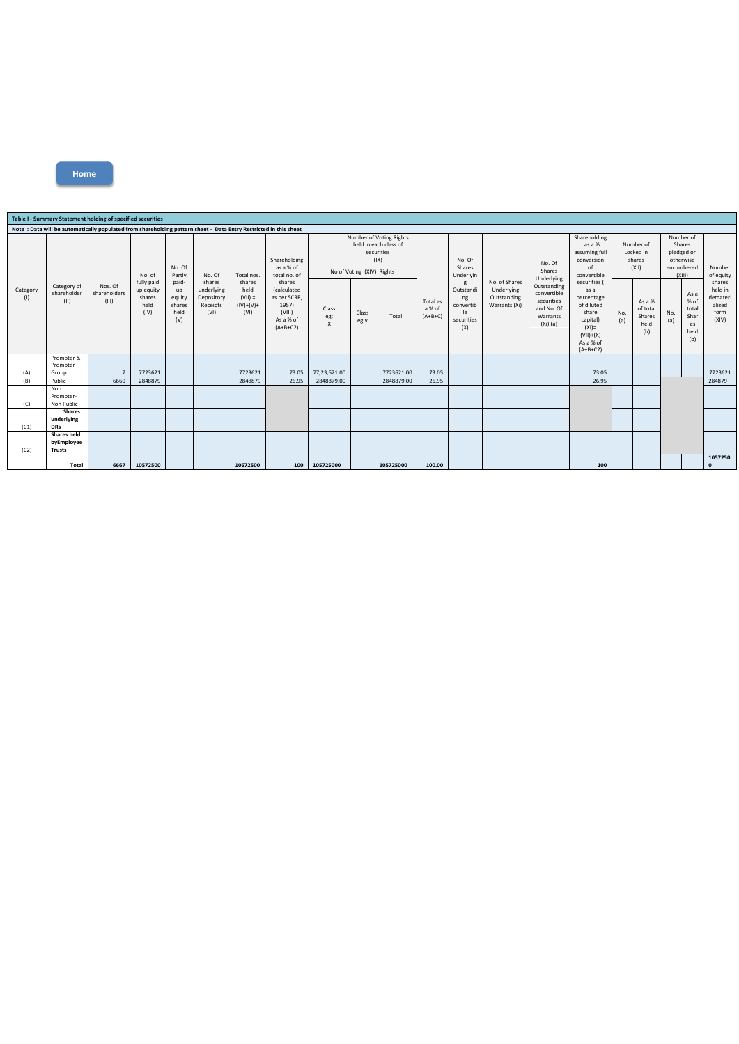|                 | Table I - Summary Statement holding of specified securities |                                                                                                                  |                                                             |                                                                    |                                                        |                                                                  |                                                                                                                                  |                                                                                                     |               |                          |                                 |                                                              |                                                             |                                                                                                |                                                                                                                             |                                           |                                             |                                                                        |                                                    |                                                          |
|-----------------|-------------------------------------------------------------|------------------------------------------------------------------------------------------------------------------|-------------------------------------------------------------|--------------------------------------------------------------------|--------------------------------------------------------|------------------------------------------------------------------|----------------------------------------------------------------------------------------------------------------------------------|-----------------------------------------------------------------------------------------------------|---------------|--------------------------|---------------------------------|--------------------------------------------------------------|-------------------------------------------------------------|------------------------------------------------------------------------------------------------|-----------------------------------------------------------------------------------------------------------------------------|-------------------------------------------|---------------------------------------------|------------------------------------------------------------------------|----------------------------------------------------|----------------------------------------------------------|
|                 |                                                             | Note: Data will be automatically populated from shareholding pattern sheet - Data Entry Restricted in this sheet |                                                             |                                                                    |                                                        |                                                                  |                                                                                                                                  |                                                                                                     |               |                          |                                 |                                                              |                                                             |                                                                                                |                                                                                                                             |                                           |                                             |                                                                        |                                                    |                                                          |
| Category<br>(1) | Category of<br>shareholder<br>(II)                          | Nos. Of<br>shareholders<br>(III)                                                                                 | No. of<br>fully paid<br>up equity<br>shares<br>held<br>(IV) | No. Of<br>Partly<br>paid-<br>up<br>equity<br>shares<br>held<br>(V) | No. Of                                                 | Total nos.<br>shares<br>held<br>$(VII) =$<br>$(IV)+(V)+$<br>(VI) | Shareholding<br>as a % of<br>total no. of<br>shares<br>(calculated<br>as per SCRR,<br>1957)<br>(VIII)<br>As a % of<br>$(A+B+C2)$ | Number of Voting Rights<br>held in each class of<br>securities<br>(IX)<br>No of Voting (XIV) Rights |               |                          |                                 | No. Of<br>Shares<br>Underlyin                                |                                                             | No. Of<br>Shares                                                                               | Shareholding<br>, as a %<br>assuming full<br>conversion<br>$\sigma$ f<br>convertible                                        | Number of<br>Locked in<br>shares<br>(XII) |                                             | Number of<br>Shares<br>pledged or<br>otherwise<br>encumbered<br>(XIII) |                                                    | Number<br>of equity                                      |
|                 |                                                             |                                                                                                                  |                                                             |                                                                    | shares<br>underlying<br>Depository<br>Receipts<br>(VI) |                                                                  |                                                                                                                                  | Class<br>eg:<br>$\boldsymbol{\mathsf{x}}$                                                           | Class<br>eg:y | Total                    | Total as<br>a % of<br>$(A+B+C)$ | g<br>Outstandi<br>ng<br>convertib<br>le<br>securities<br>(X) | No. of Shares<br>Underlying<br>Outstanding<br>Warrants (Xi) | Underlying<br>Outstanding<br>convertible<br>securities<br>and No. Of<br>Warrants<br>$(Xi)$ (a) | securities (<br>as a<br>percentage<br>of diluted<br>share<br>capital)<br>$(XI) =$<br>$(VII)+(X)$<br>As a % of<br>$(A+B+C2)$ | No.<br>(a)                                | As a %<br>of total<br>Shares<br>held<br>(b) | No.<br>(a)                                                             | As a<br>% of<br>total<br>Shar<br>es<br>held<br>(b) | shares<br>held in<br>demateri<br>alized<br>form<br>(XIV) |
|                 | Promoter &<br>Promoter                                      |                                                                                                                  |                                                             |                                                                    |                                                        |                                                                  |                                                                                                                                  |                                                                                                     |               |                          |                                 |                                                              |                                                             |                                                                                                |                                                                                                                             |                                           |                                             |                                                                        |                                                    |                                                          |
| (A)<br>(B)      | Group<br>Public                                             | 6660                                                                                                             | 7723621<br>2848879                                          |                                                                    |                                                        | 7723621<br>2848879                                               | 73.05<br>26.95                                                                                                                   | 77,23,621.00<br>2848879.00                                                                          |               | 7723621.00<br>2848879.00 | 73.05<br>26.95                  |                                                              |                                                             |                                                                                                | 73.05<br>26.95                                                                                                              |                                           |                                             |                                                                        |                                                    | 7723621<br>284879                                        |
| (C)             | Non<br>Promoter-<br>Non Public                              |                                                                                                                  |                                                             |                                                                    |                                                        |                                                                  |                                                                                                                                  |                                                                                                     |               |                          |                                 |                                                              |                                                             |                                                                                                |                                                                                                                             |                                           |                                             |                                                                        |                                                    |                                                          |
| (C1)            | <b>Shares</b><br>underlying<br><b>DRs</b>                   |                                                                                                                  |                                                             |                                                                    |                                                        |                                                                  |                                                                                                                                  |                                                                                                     |               |                          |                                 |                                                              |                                                             |                                                                                                |                                                                                                                             |                                           |                                             |                                                                        |                                                    |                                                          |
| (C2)            | <b>Shares held</b><br>byEmployee<br><b>Trusts</b>           |                                                                                                                  |                                                             |                                                                    |                                                        |                                                                  |                                                                                                                                  |                                                                                                     |               |                          |                                 |                                                              |                                                             |                                                                                                |                                                                                                                             |                                           |                                             |                                                                        |                                                    |                                                          |
|                 | Total                                                       | 6667                                                                                                             | 10572500                                                    |                                                                    |                                                        | 10572500                                                         | 100                                                                                                                              | 105725000                                                                                           |               | 105725000                | 100.00                          |                                                              |                                                             |                                                                                                | 100                                                                                                                         |                                           |                                             |                                                                        |                                                    | 1057250<br>$\Omega$                                      |

**Home**